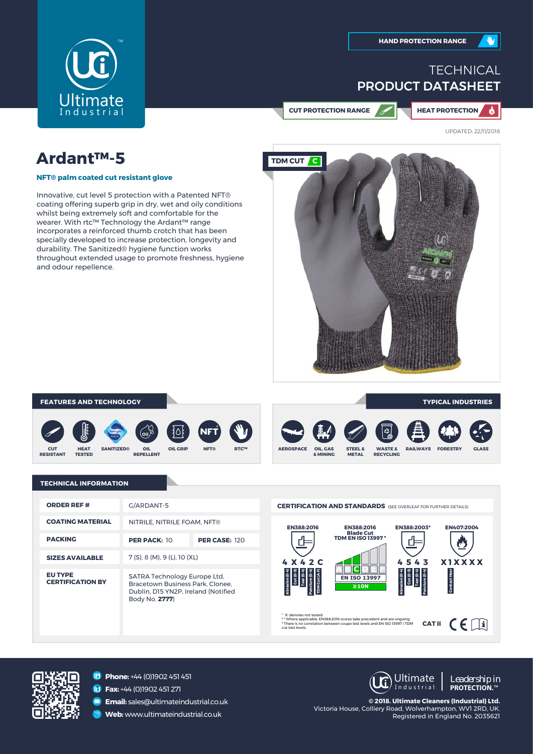

# **TECHNICAL** PRODUCT DATASHEET

**CUT PROTECTION RANGE HEAT PROTECTION**

 $\bullet$ 

UPDATED: 22/11/2018

# **Ardant™-5**

**NFT® palm coated cut resistant glove**

Innovative, cut level 5 protection with a Patented NFT® coating offering superb grip in dry, wet and oily conditions whilst being extremely soft and comfortable for the wearer. With rtc™ Technology the Ardant™ range incorporates a reinforced thumb crotch that has been specially developed to increase protection, longevity and durability. The Sanitized® hygiene function works throughout extended usage to promote freshness, hygiene and odour repellence.



#### **FEATURES AND TECHNOLOGY TYPICAL INDUSTRIES**













## **TECHNICAL INFORMATION**

| <b>ORDER REF #</b>                        | G/ARDANT-5                                                                                                                |                      |
|-------------------------------------------|---------------------------------------------------------------------------------------------------------------------------|----------------------|
| <b>COATING MATERIAL</b>                   | NITRILE, NITRILE FOAM, NFT®                                                                                               |                      |
| <b>PACKING</b>                            | <b>PER PACK: 10</b>                                                                                                       | <b>PER CASE: 120</b> |
| <b>SIZES AVAILABLE</b>                    | 7 (S), 8 (M), 9 (L), 10 (XL)                                                                                              |                      |
| <b>EU TYPE</b><br><b>CERTIFICATION BY</b> | SATRA Technology Europe Ltd,<br>Bracetown Business Park, Clonee.<br>Dublin, D15 YN2P, Ireland (Notified<br>Body No. 2777) |                      |





**Phone:** +44 (0)1902 451 451

**Fax:** +44 (0)1902 451 271

**Email:** sales@ultimateindustrial.co.uk

**Web:** www.ultimateindustrial.co.uk

**UC** Ultimate I n d u s t r i a l

*Leadership in* **PROTECTION.**™

**© 2018. Ultimate Cleaners (Industrial) Ltd.** Victoria House, Colliery Road, Wolverhampton, WV1 2RD, UK. Registered in England No. 2035621